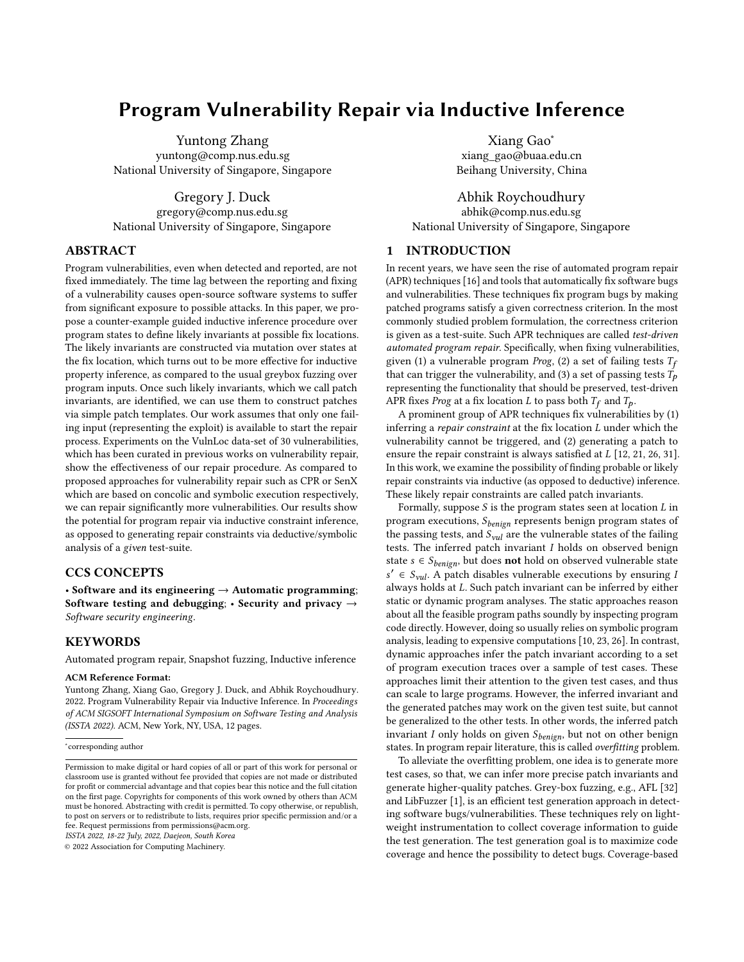# Program Vulnerability Repair via Inductive Inference

Yuntong Zhang yuntong@comp.nus.edu.sg National University of Singapore, Singapore

Gregory J. Duck gregory@comp.nus.edu.sg National University of Singapore, Singapore

# ABSTRACT

Program vulnerabilities, even when detected and reported, are not fixed immediately. The time lag between the reporting and fixing of a vulnerability causes open-source software systems to suffer from significant exposure to possible attacks. In this paper, we propose a counter-example guided inductive inference procedure over program states to define likely invariants at possible fix locations. The likely invariants are constructed via mutation over states at the fix location, which turns out to be more effective for inductive property inference, as compared to the usual greybox fuzzing over program inputs. Once such likely invariants, which we call patch invariants, are identified, we can use them to construct patches via simple patch templates. Our work assumes that only one failing input (representing the exploit) is available to start the repair process. Experiments on the VulnLoc data-set of 30 vulnerabilities, which has been curated in previous works on vulnerability repair, show the effectiveness of our repair procedure. As compared to proposed approaches for vulnerability repair such as CPR or SenX which are based on concolic and symbolic execution respectively, we can repair significantly more vulnerabilities. Our results show the potential for program repair via inductive constraint inference, as opposed to generating repair constraints via deductive/symbolic analysis of a given test-suite.

# CCS CONCEPTS

• Software and its engineering  $\rightarrow$  Automatic programming; Software testing and debugging;  $\cdot$  Security and privacy  $\rightarrow$ Software security engineering.

# **KEYWORDS**

Automated program repair, Snapshot fuzzing, Inductive inference

#### ACM Reference Format:

Yuntong Zhang, Xiang Gao, Gregory J. Duck, and Abhik Roychoudhury. 2022. Program Vulnerability Repair via Inductive Inference. In Proceedings of ACM SIGSOFT International Symposium on Software Testing and Analysis (ISSTA 2022). ACM, New York, NY, USA, [12](#page-11-0) pages.

∗ corresponding author

ISSTA 2022, 18-22 July, 2022, Daejeon, South Korea

© 2022 Association for Computing Machinery.

Xiang Gao<sup>∗</sup> xiang\_gao@buaa.edu.cn Beihang University, China

Abhik Roychoudhury abhik@comp.nus.edu.sg National University of Singapore, Singapore

# 1 INTRODUCTION

In recent years, we have seen the rise of automated program repair (APR) techniques [\[16\]](#page-10-0) and tools that automatically fix software bugs and vulnerabilities. These techniques fix program bugs by making patched programs satisfy a given correctness criterion. In the most commonly studied problem formulation, the correctness criterion is given as a test-suite. Such APR techniques are called test-driven automated program repair. Specifically, when fixing vulnerabilities, given (1) a vulnerable program Prog, (2) a set of failing tests  $T_f$ that can trigger the vulnerability, and (3) a set of passing tests  $T_p$ representing the functionality that should be preserved, test-driven APR fixes *Prog* at a fix location *L* to pass both  $T_f$  and  $T_p$ .

A prominent group of APR techniques fix vulnerabilities by (1) inferring a repair constraint at the fix location  $L$  under which the vulnerability cannot be triggered, and (2) generating a patch to ensure the repair constraint is always satisfied at  $L$  [\[12,](#page-10-1) [21,](#page-11-1) [26,](#page-11-2) [31\]](#page-11-3). In this work, we examine the possibility of finding probable or likely repair constraints via inductive (as opposed to deductive) inference. These likely repair constraints are called patch invariants.

Formally, suppose  $S$  is the program states seen at location  $L$  in program executions,  $S_{benign}$  represents benign program states of the passing tests, and  $S_{vul}$  are the vulnerable states of the failing tests. The inferred patch invariant  $I$  holds on observed benign state  $s \in S_{benign}$ , but does **not** hold on observed vulnerable state  $s' \in S_{\text{val}}$ . A patch disables vulnerable executions by ensuring l always holds at  $L$ . Such patch invariant can be inferred by either static or dynamic program analyses. The static approaches reason about all the feasible program paths soundly by inspecting program code directly. However, doing so usually relies on symbolic program analysis, leading to expensive computations [\[10,](#page-10-2) [23,](#page-11-4) [26\]](#page-11-2). In contrast, dynamic approaches infer the patch invariant according to a set of program execution traces over a sample of test cases. These approaches limit their attention to the given test cases, and thus can scale to large programs. However, the inferred invariant and the generated patches may work on the given test suite, but cannot be generalized to the other tests. In other words, the inferred patch invariant  $I$  only holds on given  $S_{benign}$ , but not on other benign states. In program repair literature, this is called overfitting problem.

To alleviate the overfitting problem, one idea is to generate more test cases, so that, we can infer more precise patch invariants and generate higher-quality patches. Grey-box fuzzing, e.g., AFL [\[32\]](#page-11-5) and LibFuzzer [\[1\]](#page-10-3), is an efficient test generation approach in detecting software bugs/vulnerabilities. These techniques rely on lightweight instrumentation to collect coverage information to guide the test generation. The test generation goal is to maximize code coverage and hence the possibility to detect bugs. Coverage-based

Permission to make digital or hard copies of all or part of this work for personal or classroom use is granted without fee provided that copies are not made or distributed for profit or commercial advantage and that copies bear this notice and the full citation on the first page. Copyrights for components of this work owned by others than  $\rm{ACM}$ must be honored. Abstracting with credit is permitted. To copy otherwise, or republish, to post on servers or to redistribute to lists, requires prior specific permission and/or a fee. Request permissions from permissions@acm.org.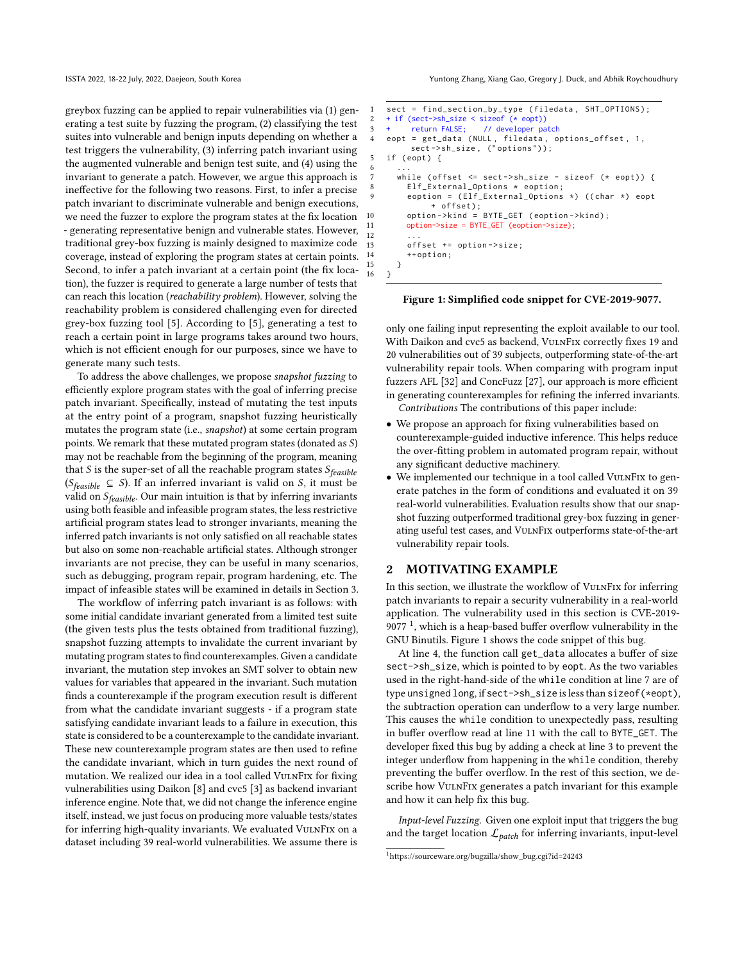greybox fuzzing can be applied to repair vulnerabilities via (1) generating a test suite by fuzzing the program, (2) classifying the test suites into vulnerable and benign inputs depending on whether a test triggers the vulnerability, (3) inferring patch invariant using the augmented vulnerable and benign test suite, and (4) using the invariant to generate a patch. However, we argue this approach is ineffective for the following two reasons. First, to infer a precise patch invariant to discriminate vulnerable and benign executions, we need the fuzzer to explore the program states at the fix location - generating representative benign and vulnerable states. However, traditional grey-box fuzzing is mainly designed to maximize code coverage, instead of exploring the program states at certain points. Second, to infer a patch invariant at a certain point (the fix location), the fuzzer is required to generate a large number of tests that can reach this location (reachability problem). However, solving the reachability problem is considered challenging even for directed grey-box fuzzing tool [\[5\]](#page-10-4). According to [\[5\]](#page-10-4), generating a test to reach a certain point in large programs takes around two hours, which is not efficient enough for our purposes, since we have to generate many such tests.

To address the above challenges, we propose snapshot fuzzing to efficiently explore program states with the goal of inferring precise patch invariant. Specifically, instead of mutating the test inputs at the entry point of a program, snapshot fuzzing heuristically mutates the program state (i.e., snapshot) at some certain program points. We remark that these mutated program states (donated as  $S$ ) may not be reachable from the beginning of the program, meaning that  $S$  is the super-set of all the reachable program states  $S_{feasible}$ ( $S_{feasible} \subseteq S$ ). If an inferred invariant is valid on S, it must be valid on  $S_{feasible}$ . Our main intuition is that by inferring invariants using both feasible and infeasible program states, the less restrictive artificial program states lead to stronger invariants, meaning the inferred patch invariants is not only satisfied on all reachable states but also on some non-reachable artificial states. Although stronger invariants are not precise, they can be useful in many scenarios, such as debugging, program repair, program hardening, etc. The impact of infeasible states will be examined in details in Section [3.](#page-2-0)

The workflow of inferring patch invariant is as follows: with some initial candidate invariant generated from a limited test suite (the given tests plus the tests obtained from traditional fuzzing), snapshot fuzzing attempts to invalidate the current invariant by mutating program states to find counterexamples. Given a candidate invariant, the mutation step invokes an SMT solver to obtain new values for variables that appeared in the invariant. Such mutation finds a counterexample if the program execution result is different from what the candidate invariant suggests - if a program state satisfying candidate invariant leads to a failure in execution, this state is considered to be a counterexample to the candidate invariant. These new counterexample program states are then used to refine the candidate invariant, which in turn guides the next round of mutation. We realized our idea in a tool called VULNFIX for fixing vulnerabilities using Daikon [\[8\]](#page-10-5) and cvc5 [\[3\]](#page-10-6) as backend invariant inference engine. Note that, we did not change the inference engine itself, instead, we just focus on producing more valuable tests/states for inferring high-quality invariants. We evaluated VULNFIX on a dataset including 39 real-world vulnerabilities. We assume there is

ISSTA 2022, 18-22 July, 2022, Daejeon, South Korea Yuntong Zhang, Xiang Gao, Gregory J. Duck, and Abhik Roychoudhury

```
sect = find_section_by_type (filedata, SHT_OPTIONS);
2 + if (sect->sh_size < sizeof (* eopt))
3 + return FALSE; // developer patch<br>4 eont = get data (NULL filedata of
    eopt = get_data (NULL, filedata, options_offset, 1,
         sect->sh_size, ("options"));
5 if (eopt) {
 6 ...
      while ( offset \le sect -> sh_size - sizeof (* eopt)) {
8 Elf External Options * eoption:
         eoption = (Elf_{\text{External\_Options}} \times) ((char \star) eopt
              + offset);
10 option -> kind = BYTE_GET (eoption -> kind);
         option->size = BYTE_GET (eoption->size);
12 ...
13 offset += option->size:
14 ++ option:
15 }
16 }
```
#### <span id="page-1-4"></span>Figure 1: Simplified code snippet for CVE-2019-9077.

only one failing input representing the exploit available to our tool. With Daikon and cvc5 as backend, VulnFix correctly fixes 19 and 20 vulnerabilities out of 39 subjects, outperforming state-of-the-art vulnerability repair tools. When comparing with program input fuzzers AFL [\[32\]](#page-11-5) and ConcFuzz [\[27\]](#page-11-6), our approach is more efficient in generating counterexamples for refining the inferred invariants. Contributions The contributions of this paper include:

- We propose an approach for fixing vulnerabilities based on counterexample-guided inductive inference. This helps reduce the over-fitting problem in automated program repair, without any significant deductive machinery.
- We implemented our technique in a tool called VULNFIX to generate patches in the form of conditions and evaluated it on 39 real-world vulnerabilities. Evaluation results show that our snapshot fuzzing outperformed traditional grey-box fuzzing in generating useful test cases, and VulnFix outperforms state-of-the-art vulnerability repair tools.

## <span id="page-1-6"></span>2 MOTIVATING EXAMPLE

In this section, we illustrate the workflow of VulnFix for inferring patch invariants to repair a security vulnerability in a real-world application. The vulnerability used in this section is CVE-2019- 9077 $<sup>1</sup>$  $<sup>1</sup>$  $<sup>1</sup>$ , which is a heap-based buffer overflow vulnerability in the</sup> GNU Binutils. Figure [1](#page-1-1) shows the code snippet of this bug.

At line [4,](#page-1-2) the function call get\_data allocates a buffer of size sect->sh\_size, which is pointed to by eopt. As the two variables used in the right-hand-side of the while condition at line [7](#page-1-3) are of type unsigned long, if sect->sh\_size is less than sizeof(\*eopt), the subtraction operation can underflow to a very large number. This causes the while condition to unexpectedly pass, resulting in buffer overflow read at line [11](#page-1-4) with the call to BYTE\_GET. The developer fixed this bug by adding a check at line [3](#page-1-5) to prevent the integer underflow from happening in the while condition, thereby preventing the buffer overflow. In the rest of this section, we describe how VulnFix generates a patch invariant for this example and how it can help fix this bug.

Input-level Fuzzing. Given one exploit input that triggers the bug and the target location  $\mathcal{L}_{patch}$  for inferring invariants, input-level

<span id="page-1-0"></span><sup>1</sup>https://sourceware.org/bugzilla/show\_bug.cgi?id=24243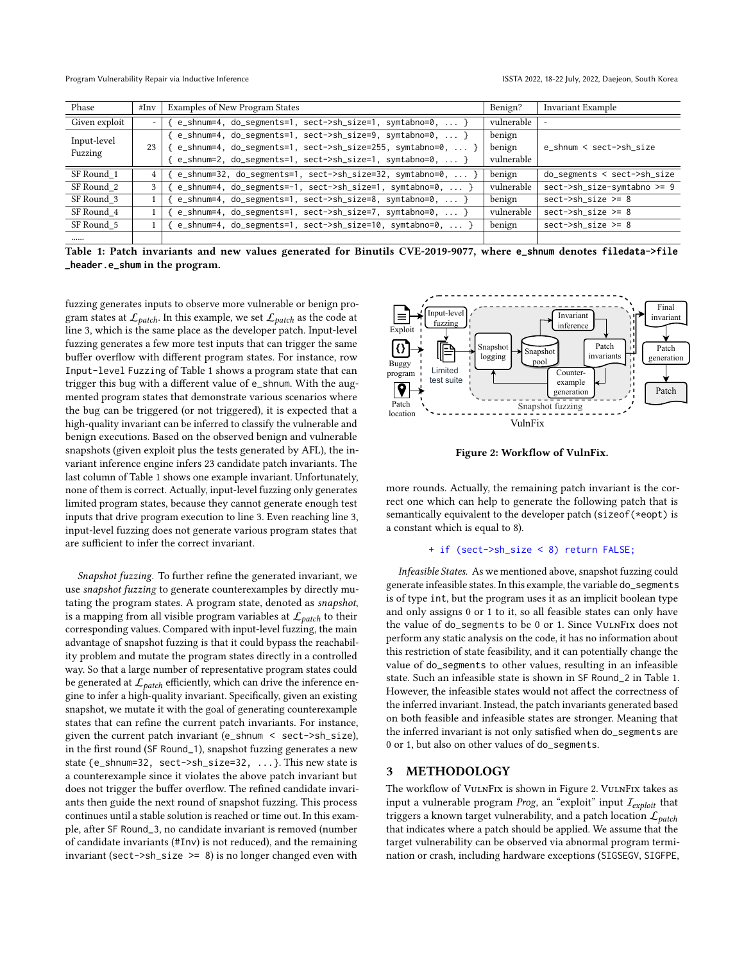Program Vulnerability Repair via Inductive Inference **Interact 2022, 18-22 July, 2022, Daejeon**, South Korea

<span id="page-2-1"></span>

| Phase                  | # $\text{Inv}$ | Examples of New Program States                                     | Benign?    | Invariant Example              |  |
|------------------------|----------------|--------------------------------------------------------------------|------------|--------------------------------|--|
| Given exploit          |                | [ e_shnum=4, do_segments=1, sect->sh_size=1, symtabno=0,  }        | vulnerable |                                |  |
| Input-level<br>Fuzzing | 23             | $\{ e\_shnum=4, do\_segments=1, sect->sh\_size=9, synthono=0,  \}$ | benign     |                                |  |
|                        |                | $\{ e_s$ shnum=4, do_segments=1, sect->sh_size=255, symtabno=0,  } | benign     | e_shnum < sect->sh_size        |  |
|                        |                | [ e_shnum=2, do_segments=1, sect->sh_size=1, symtabno=0,  }        | vulnerable |                                |  |
| SF Round 1             |                | { e_shnum=32, do_segments=1, sect->sh_size=32, symtabno=0,         | benign     | $do$ _segments < sect->sh_size |  |
| SF Round 2             |                | e_shnum=4, do_segments=-1, sect->sh_size=1, symtabno=0,  }         | vulnerable | sect->sh_size-symtabno >= 9    |  |
| SF Round 3             |                | e_shnum=4, do_segments=1, sect->sh_size=8, symtabno=0,  }          | benign     | $sect->sh\_size \geq 8$        |  |
| SF Round 4             |                | [ e_shnum=4, do_segments=1, sect->sh_size=7, symtabno=0,  }        | vulnerable | $sect->sh\_size \geq 8$        |  |
| SF Round 5             |                |                                                                    | benign     | $sect->sh\_size \geq 8$        |  |
|                        |                |                                                                    |            |                                |  |

Table 1: Patch invariants and new values generated for Binutils CVE-2019-9077, where **e\_shnum** denotes **filedata->file \_header.e\_shum** in the program.

fuzzing generates inputs to observe more vulnerable or benign program states at  $\mathcal{L}_{patch}$ . In this example, we set  $\mathcal{L}_{patch}$  as the code at line [3,](#page-1-5) which is the same place as the developer patch. Input-level fuzzing generates a few more test inputs that can trigger the same buffer overflow with different program states. For instance, row Input-level Fuzzing of Table [1](#page-2-1) shows a program state that can trigger this bug with a different value of e\_shnum. With the augmented program states that demonstrate various scenarios where the bug can be triggered (or not triggered), it is expected that a high-quality invariant can be inferred to classify the vulnerable and benign executions. Based on the observed benign and vulnerable snapshots (given exploit plus the tests generated by AFL), the invariant inference engine infers 23 candidate patch invariants. The last column of Table [1](#page-2-1) shows one example invariant. Unfortunately, none of them is correct. Actually, input-level fuzzing only generates limited program states, because they cannot generate enough test inputs that drive program execution to line [3.](#page-1-5) Even reaching line [3,](#page-1-5) input-level fuzzing does not generate various program states that are sufficient to infer the correct invariant.

Snapshot fuzzing. To further refine the generated invariant, we use snapshot fuzzing to generate counterexamples by directly mutating the program states. A program state, denoted as snapshot, is a mapping from all visible program variables at  $\mathcal{L}_{patch}$  to their corresponding values. Compared with input-level fuzzing, the main advantage of snapshot fuzzing is that it could bypass the reachability problem and mutate the program states directly in a controlled way. So that a large number of representative program states could be generated at  $\mathcal{L}_{patch}$  efficiently, which can drive the inference engine to infer a high-quality invariant. Specifically, given an existing snapshot, we mutate it with the goal of generating counterexample states that can refine the current patch invariants. For instance, given the current patch invariant (e\_shnum < sect->sh\_size), in the first round (SF Round\_1), snapshot fuzzing generates a new state {e\_shnum=32, sect->sh\_size=32, ...}. This new state is a counterexample since it violates the above patch invariant but does not trigger the buffer overflow. The refined candidate invariants then guide the next round of snapshot fuzzing. This process continues until a stable solution is reached or time out. In this example, after SF Round\_3, no candidate invariant is removed (number of candidate invariants (#Inv) is not reduced), and the remaining invariant (sect->sh\_size >=  $8$ ) is no longer changed even with

<span id="page-2-2"></span>

Figure 2: Workflow of VulnFix.

more rounds. Actually, the remaining patch invariant is the correct one which can help to generate the following patch that is semantically equivalent to the developer patch (sizeof(\*eopt) is a constant which is equal to 8).

#### + if (sect->sh\_size < 8) return FALSE;

Infeasible States. As we mentioned above, snapshot fuzzing could generate infeasible states. In this example, the variable do\_segments is of type int, but the program uses it as an implicit boolean type and only assigns 0 or 1 to it, so all feasible states can only have the value of do\_segments to be 0 or 1. Since VulnFix does not perform any static analysis on the code, it has no information about this restriction of state feasibility, and it can potentially change the value of do\_segments to other values, resulting in an infeasible state. Such an infeasible state is shown in SF Round\_2 in Table [1.](#page-2-1) However, the infeasible states would not affect the correctness of the inferred invariant. Instead, the patch invariants generated based on both feasible and infeasible states are stronger. Meaning that the inferred invariant is not only satisfied when do\_segments are 0 or 1, but also on other values of do\_segments.

### <span id="page-2-0"></span>3 METHODOLOGY

The workflow of VulnFix is shown in Figure [2.](#page-2-2) VulnFix takes as input a vulnerable program Prog, an "exploit" input  $I_{exploit}$  that triggers a known target vulnerability, and a patch location  $\mathcal{L}_{patch}$ that indicates where a patch should be applied. We assume that the target vulnerability can be observed via abnormal program termination or crash, including hardware exceptions (SIGSEGV, SIGFPE,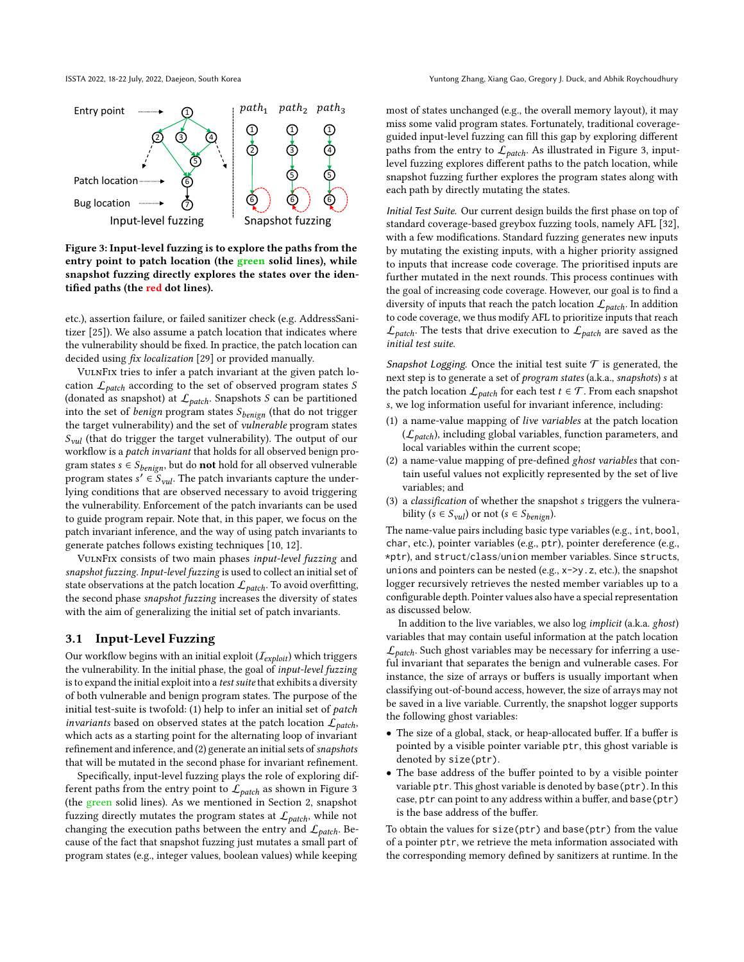<span id="page-3-0"></span>

Figure 3: Input-level fuzzing is to explore the paths from the entry point to patch location (the green solid lines), while snapshot fuzzing directly explores the states over the identified paths (the red dot lines).

etc.), assertion failure, or failed sanitizer check (e.g. AddressSanitizer [\[25\]](#page-11-7)). We also assume a patch location that indicates where the vulnerability should be fixed. In practice, the patch location can decided using fix localization [\[29\]](#page-11-8) or provided manually.

VulnFix tries to infer a patch invariant at the given patch location  $\mathcal{L}_{patch}$  according to the set of observed program states S (donated as snapshot) at  $\mathcal{L}_{patch}$ . Snapshots *S* can be partitioned into the set of benign program states  $S_{benign}$  (that do not trigger the target vulnerability) and the set of vulnerable program states  $S<sub>vul</sub>$  (that do trigger the target vulnerability). The output of our workflow is a patch invariant that holds for all observed benign program states  $s \in S_{benign}$ , but do **not** hold for all observed vulnerable program states  $s' \in S_{vul}$ . The patch invariants capture the underlying conditions that are observed necessary to avoid triggering the vulnerability. Enforcement of the patch invariants can be used to guide program repair. Note that, in this paper, we focus on the patch invariant inference, and the way of using patch invariants to generate patches follows existing techniques [\[10,](#page-10-2) [12\]](#page-10-1).

VulnFix consists of two main phases input-level fuzzing and snapshot fuzzing. Input-level fuzzing is used to collect an initial set of state observations at the patch location  $\mathcal{L}_{patch}$ . To avoid overfitting, the second phase snapshot fuzzing increases the diversity of states with the aim of generalizing the initial set of patch invariants.

# <span id="page-3-2"></span>3.1 Input-Level Fuzzing

Our workflow begins with an initial exploit  $(I_{exnloit})$  which triggers the vulnerability. In the initial phase, the goal of input-level fuzzing is to expand the initial exploit into a test suite that exhibits a diversity of both vulnerable and benign program states. The purpose of the initial test-suite is twofold: (1) help to infer an initial set of patch invariants based on observed states at the patch location  $\mathcal{L}_{patch}$ , which acts as a starting point for the alternating loop of invariant refinement and inference, and (2) generate an initial sets of snapshots that will be mutated in the second phase for invariant refinement.

Specifically, input-level fuzzing plays the role of exploring different paths from the entry point to  $\mathcal{L}_{patch}$  as shown in Figure [3](#page-3-0) (the green solid lines). As we mentioned in Section [2,](#page-1-6) snapshot fuzzing directly mutates the program states at  $\mathcal{L}_{patch}$ , while not changing the execution paths between the entry and  $\mathcal{L}_{patch}$ . Because of the fact that snapshot fuzzing just mutates a small part of program states (e.g., integer values, boolean values) while keeping

most of states unchanged (e.g., the overall memory layout), it may miss some valid program states. Fortunately, traditional coverageguided input-level fuzzing can fill this gap by exploring different paths from the entry to  $\mathcal{L}_{patch}$ . As illustrated in Figure [3,](#page-3-0) inputlevel fuzzing explores different paths to the patch location, while snapshot fuzzing further explores the program states along with each path by directly mutating the states.

Initial Test Suite. Our current design builds the first phase on top of standard coverage-based greybox fuzzing tools, namely AFL [\[32\]](#page-11-5), with a few modifications. Standard fuzzing generates new inputs by mutating the existing inputs, with a higher priority assigned to inputs that increase code coverage. The prioritised inputs are further mutated in the next rounds. This process continues with the goal of increasing code coverage. However, our goal is to find a diversity of inputs that reach the patch location  $\mathcal{L}_{patch}$ . In addition to code coverage, we thus modify AFL to prioritize inputs that reach  $\mathcal{L}_{patch}$ . The tests that drive execution to  $\mathcal{L}_{patch}$  are saved as the initial test suite.

<span id="page-3-1"></span>Snapshot Logging. Once the initial test suite  $\mathcal T$  is generated, the next step is to generate a set of program states (a.k.a., snapshots) s at the patch location  $\mathcal{L}_{patch}$  for each test  $t \in \mathcal{T}$ . From each snapshot , we log information useful for invariant inference, including:

- (1) a name-value mapping of live variables at the patch location  $(\mathcal{L}_{patch})$ , including global variables, function parameters, and local variables within the current scope;
- (2) a name-value mapping of pre-defined ghost variables that contain useful values not explicitly represented by the set of live variables; and
- (3) a *classification* of whether the snapshot  $s$  triggers the vulnerability ( $s \in S_{\text{val}}$ ) or not ( $s \in S_{\text{benign}}$ ).

The name-value pairs including basic type variables (e.g., int, bool, char, etc.), pointer variables (e.g., ptr), pointer dereference (e.g., \*ptr), and struct/class/union member variables. Since structs, unions and pointers can be nested (e.g., x->y.z, etc.), the snapshot logger recursively retrieves the nested member variables up to a configurable depth. Pointer values also have a special representation as discussed below.

In addition to the live variables, we also log implicit (a.k.a. ghost) variables that may contain useful information at the patch location  $\mathcal{L}_{patch}$ . Such ghost variables may be necessary for inferring a useful invariant that separates the benign and vulnerable cases. For instance, the size of arrays or buffers is usually important when classifying out-of-bound access, however, the size of arrays may not be saved in a live variable. Currently, the snapshot logger supports the following ghost variables:

- The size of a global, stack, or heap-allocated buffer. If a buffer is pointed by a visible pointer variable ptr, this ghost variable is denoted by size(ptr).
- The base address of the buffer pointed to by a visible pointer variable ptr. This ghost variable is denoted by base(ptr). In this case, ptr can point to any address within a buffer, and base(ptr) is the base address of the buffer.

To obtain the values for size(ptr) and base(ptr) from the value of a pointer ptr, we retrieve the meta information associated with the corresponding memory defined by sanitizers at runtime. In the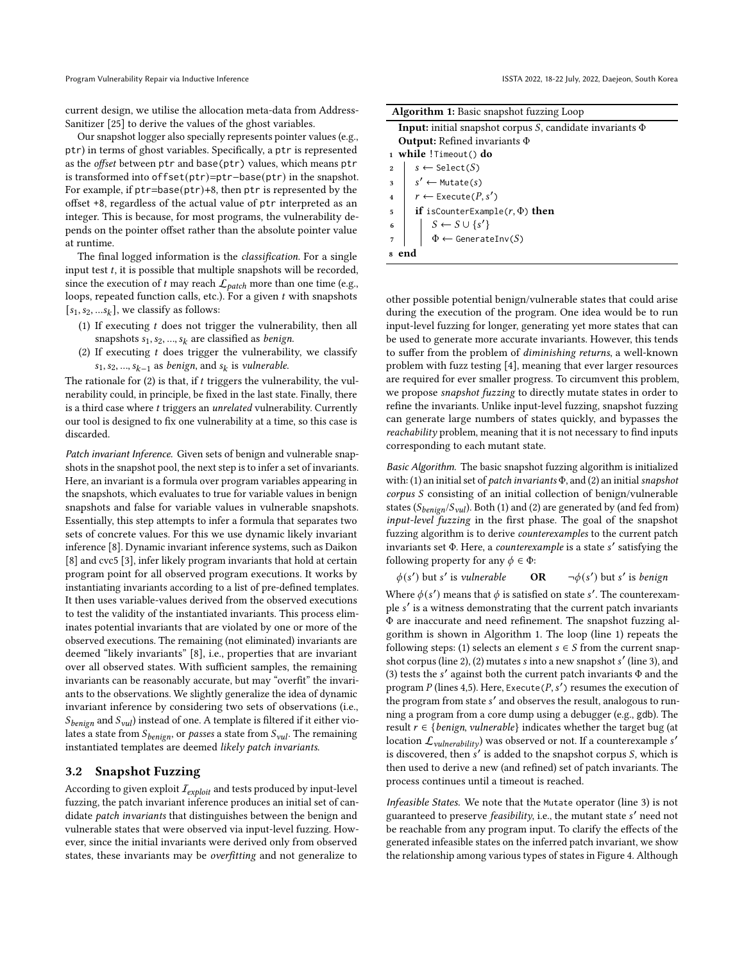current design, we utilise the allocation meta-data from Address-Sanitizer [\[25\]](#page-11-7) to derive the values of the ghost variables.

Our snapshot logger also specially represents pointer values (e.g., ptr) in terms of ghost variables. Specifically, a ptr is represented as the offset between ptr and base(ptr) values, which means ptr is transformed into offset(ptr)=ptr−base(ptr) in the snapshot. For example, if ptr=base(ptr)+8, then ptr is represented by the offset +8, regardless of the actual value of ptr interpreted as an integer. This is because, for most programs, the vulnerability depends on the pointer offset rather than the absolute pointer value at runtime.

The final logged information is the classification. For a single input test  $t$ , it is possible that multiple snapshots will be recorded, since the execution of  $t$  may reach  $\mathcal{L}_{patch}$  more than one time (e.g., loops, repeated function calls, etc.). For a given  $t$  with snapshots  $[s_1, s_2, \ldots s_k]$ , we classify as follows:

- (1) If executing  $t$  does not trigger the vulnerability, then all snapshots  $s_1, s_2, ..., s_k$  are classified as *benign*.
- (2) If executing  $t$  does trigger the vulnerability, we classify  $s_1, s_2, ..., s_{k-1}$  as benign, and  $s_k$  is vulnerable.

The rationale for  $(2)$  is that, if  $t$  triggers the vulnerability, the vulnerability could, in principle, be fixed in the last state. Finally, there is a third case where  $t$  triggers an unrelated vulnerability. Currently our tool is designed to fix one vulnerability at a time, so this case is discarded.

Patch invariant Inference. Given sets of benign and vulnerable snapshots in the snapshot pool, the next step is to infer a set of invariants. Here, an invariant is a formula over program variables appearing in the snapshots, which evaluates to true for variable values in benign snapshots and false for variable values in vulnerable snapshots. Essentially, this step attempts to infer a formula that separates two sets of concrete values. For this we use dynamic likely invariant inference [\[8\]](#page-10-5). Dynamic invariant inference systems, such as Daikon [\[8\]](#page-10-5) and cvc5 [\[3\]](#page-10-6), infer likely program invariants that hold at certain program point for all observed program executions. It works by instantiating invariants according to a list of pre-defined templates. It then uses variable-values derived from the observed executions to test the validity of the instantiated invariants. This process eliminates potential invariants that are violated by one or more of the observed executions. The remaining (not eliminated) invariants are deemed "likely invariants" [\[8\]](#page-10-5), i.e., properties that are invariant over all observed states. With sufficient samples, the remaining invariants can be reasonably accurate, but may "overfit" the invariants to the observations. We slightly generalize the idea of dynamic invariant inference by considering two sets of observations (i.e.,  $S_{benign}$  and  $S_{vul}$ ) instead of one. A template is filtered if it either violates a state from  $S_{benign}$ , or passes a state from  $S_{vul}$ . The remaining instantiated templates are deemed likely patch invariants.

#### <span id="page-4-1"></span>3.2 Snapshot Fuzzing

According to given exploit  $I_{exploit}$  and tests produced by input-level fuzzing, the patch invariant inference produces an initial set of candidate patch invariants that distinguishes between the benign and vulnerable states that were observed via input-level fuzzing. However, since the initial invariants were derived only from observed states, these invariants may be overfitting and not generalize to

<span id="page-4-0"></span>

| <b>Algorithm 1:</b> Basic snapshot fuzzing Loop                                                                      |  |  |  |  |  |
|----------------------------------------------------------------------------------------------------------------------|--|--|--|--|--|
| <b>Input:</b> initial snapshot corpus S, candidate invariants $\Phi$                                                 |  |  |  |  |  |
| <b>Output:</b> Refined invariants $\Phi$                                                                             |  |  |  |  |  |
| 1 while !Timeout() do                                                                                                |  |  |  |  |  |
| $s \leftarrow \text{Select}(S)$<br>$\bf{2}$                                                                          |  |  |  |  |  |
| $\vert s' \leftarrow \text{Mutate}(s)$<br>3                                                                          |  |  |  |  |  |
| $r \leftarrow$ Execute( $P, s'$ )<br>$\overline{4}$                                                                  |  |  |  |  |  |
| <b>if</b> isCounterExample( $r$ , $\Phi$ ) <b>then</b><br>5                                                          |  |  |  |  |  |
| $\boldsymbol{6}$                                                                                                     |  |  |  |  |  |
| $\begin{array}{ l} \hline S \leftarrow S \cup \{s'\} \\ \Phi \leftarrow \text{Generator}(S) \hline \end{array}$<br>7 |  |  |  |  |  |
|                                                                                                                      |  |  |  |  |  |

other possible potential benign/vulnerable states that could arise during the execution of the program. One idea would be to run input-level fuzzing for longer, generating yet more states that can be used to generate more accurate invariants. However, this tends to suffer from the problem of diminishing returns, a well-known problem with fuzz testing [\[4\]](#page-10-7), meaning that ever larger resources are required for ever smaller progress. To circumvent this problem, we propose snapshot fuzzing to directly mutate states in order to refine the invariants. Unlike input-level fuzzing, snapshot fuzzing can generate large numbers of states quickly, and bypasses the reachability problem, meaning that it is not necessary to find inputs corresponding to each mutant state.

Basic Algorithm. The basic snapshot fuzzing algorithm is initialized with: (1) an initial set of patch invariants  $\Phi$ , and (2) an initial snapshot corpus S consisting of an initial collection of benign/vulnerable states ( $S_{benign}/S_{vul}$ ). Both (1) and (2) are generated by (and fed from) input-level fuzzing in the first phase. The goal of the snapshot fuzzing algorithm is to derive counterexamples to the current patch invariants set Φ. Here, a counterexample is a state s' satisfying the following property for any  $\phi \in \Phi$ :

 $\phi(s')$  but s' is vulnerable **OR**  $\neg \phi(s)$ ') but s' is benign

Where  $\phi(s')$  means that  $\phi$  is satisfied on state s'. The counterexample s' is a witness demonstrating that the current patch invariants Φ are inaccurate and need refinement. The snapshot fuzzing algorithm is shown in Algorithm [1.](#page-4-0) The loop (line 1) repeats the following steps: (1) selects an element  $s \in S$  from the current snapshot corpus (line 2), (2) mutates s into a new snapshot s' (line 3), and (3) tests the ′ against both the current patch invariants Φ and the program P (lines 4,5). Here, Execute ( $P, s'$ ) resumes the execution of the program from state ′ and observes the result, analogous to running a program from a core dump using a debugger (e.g., gdb). The result  $r \in \{benign, vulnerable\}$  indicates whether the target bug (at location  $\mathcal{L}_{\textit{vulnerability}}$ ) was observed or not. If a counterexample s' is discovered, then  $s'$  is added to the snapshot corpus  $S$ , which is then used to derive a new (and refined) set of patch invariants. The process continues until a timeout is reached.

Infeasible States. We note that the Mutate operator (line 3) is not guaranteed to preserve feasibility, i.e., the mutant state ′ need not be reachable from any program input. To clarify the effects of the generated infeasible states on the inferred patch invariant, we show the relationship among various types of states in Figure [4.](#page-5-0) Although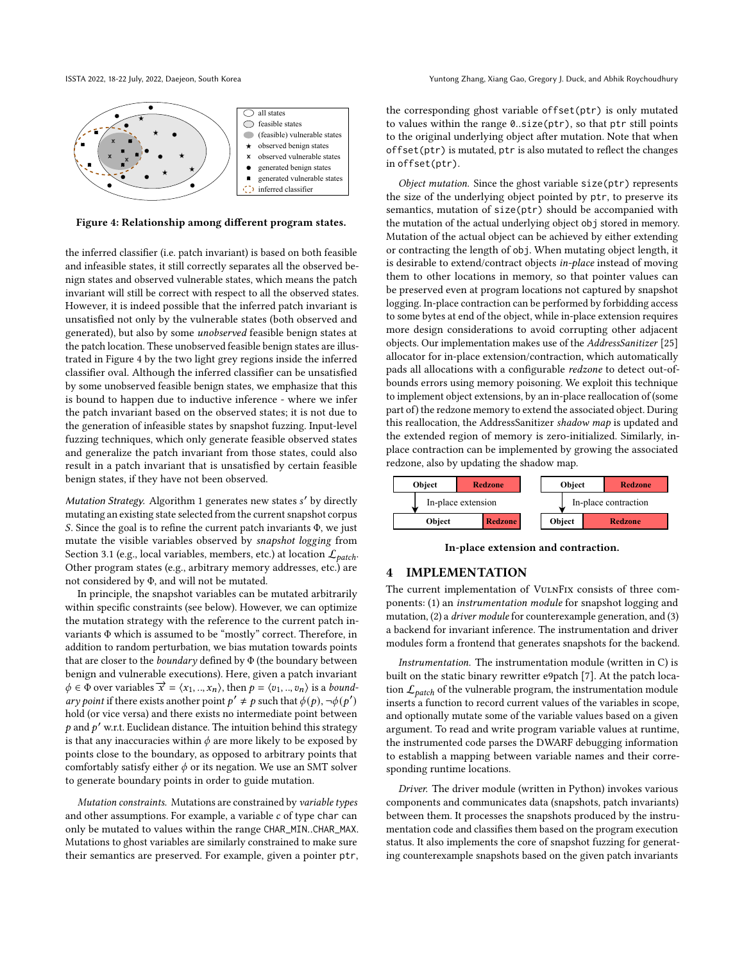<span id="page-5-0"></span>

Figure 4: Relationship among different program states.

the inferred classifier (i.e. patch invariant) is based on both feasible and infeasible states, it still correctly separates all the observed benign states and observed vulnerable states, which means the patch invariant will still be correct with respect to all the observed states. However, it is indeed possible that the inferred patch invariant is unsatisfied not only by the vulnerable states (both observed and generated), but also by some unobserved feasible benign states at the patch location. These unobserved feasible benign states are illustrated in Figure [4](#page-5-0) by the two light grey regions inside the inferred classifier oval. Although the inferred classifier can be unsatisfied by some unobserved feasible benign states, we emphasize that this is bound to happen due to inductive inference - where we infer the patch invariant based on the observed states; it is not due to the generation of infeasible states by snapshot fuzzing. Input-level fuzzing techniques, which only generate feasible observed states and generalize the patch invariant from those states, could also result in a patch invariant that is unsatisfied by certain feasible benign states, if they have not been observed.

Mutation Strategy. Algorithm [1](#page-4-0) generates new states s' by directly mutating an existing state selected from the current snapshot corpus . Since the goal is to refine the current patch invariants Φ, we just mutate the visible variables observed by snapshot logging from Section [3.1](#page-3-1) (e.g., local variables, members, etc.) at location  $\mathcal{L}_{patch}$ . Other program states (e.g., arbitrary memory addresses, etc.) are not considered by Φ, and will not be mutated.

In principle, the snapshot variables can be mutated arbitrarily within specific constraints (see below). However, we can optimize the mutation strategy with the reference to the current patch invariants Φ which is assumed to be "mostly" correct. Therefore, in addition to random perturbation, we bias mutation towards points that are closer to the *boundary* defined by  $\Phi$  (the boundary between benign and vulnerable executions). Here, given a patch invariant  $\phi \in \Phi$  over variables  $\overrightarrow{x} = \langle x_1, ..., x_n \rangle$ , then  $p = \langle v_1, ..., v_n \rangle$  is a boundary point if there exists another point  $p' \neq p$  such that  $\phi(p), \neg \phi(p')$ hold (or vice versa) and there exists no intermediate point between  $p$  and  $p'$  w.r.t. Euclidean distance. The intuition behind this strategy is that any inaccuracies within  $\phi$  are more likely to be exposed by points close to the boundary, as opposed to arbitrary points that comfortably satisfy either  $\phi$  or its negation. We use an SMT solver to generate boundary points in order to guide mutation.

Mutation constraints. Mutations are constrained by variable types and other assumptions. For example, a variable  $c$  of type char can only be mutated to values within the range CHAR\_MIN..CHAR\_MAX. Mutations to ghost variables are similarly constrained to make sure their semantics are preserved. For example, given a pointer ptr, the corresponding ghost variable offset(ptr) is only mutated to values within the range 0..size(ptr), so that ptr still points to the original underlying object after mutation. Note that when offset(ptr) is mutated, ptr is also mutated to reflect the changes in offset(ptr).

Object mutation. Since the ghost variable size(ptr) represents the size of the underlying object pointed by ptr, to preserve its semantics, mutation of size(ptr) should be accompanied with the mutation of the actual underlying object obj stored in memory. Mutation of the actual object can be achieved by either extending or contracting the length of obj. When mutating object length, it is desirable to extend/contract objects in-place instead of moving them to other locations in memory, so that pointer values can be preserved even at program locations not captured by snapshot logging. In-place contraction can be performed by forbidding access to some bytes at end of the object, while in-place extension requires more design considerations to avoid corrupting other adjacent objects. Our implementation makes use of the AddressSanitizer [\[25\]](#page-11-7) allocator for in-place extension/contraction, which automatically pads all allocations with a configurable redzone to detect out-ofbounds errors using memory poisoning. We exploit this technique to implement object extensions, by an in-place reallocation of (some part of) the redzone memory to extend the associated object. During this reallocation, the AddressSanitizer shadow map is updated and the extended region of memory is zero-initialized. Similarly, inplace contraction can be implemented by growing the associated redzone, also by updating the shadow map.



In-place extension and contraction.

# 4 IMPLEMENTATION

The current implementation of VulnFix consists of three components: (1) an instrumentation module for snapshot logging and mutation, (2) a *driver module* for counterexample generation, and (3) a backend for invariant inference. The instrumentation and driver modules form a frontend that generates snapshots for the backend.

Instrumentation. The instrumentation module (written in C) is built on the static binary rewritter e9patch [\[7\]](#page-10-8). At the patch location  $\mathcal{L}_{patch}$  of the vulnerable program, the instrumentation module inserts a function to record current values of the variables in scope, and optionally mutate some of the variable values based on a given argument. To read and write program variable values at runtime, the instrumented code parses the DWARF debugging information to establish a mapping between variable names and their corresponding runtime locations.

Driver. The driver module (written in Python) invokes various components and communicates data (snapshots, patch invariants) between them. It processes the snapshots produced by the instrumentation code and classifies them based on the program execution status. It also implements the core of snapshot fuzzing for generating counterexample snapshots based on the given patch invariants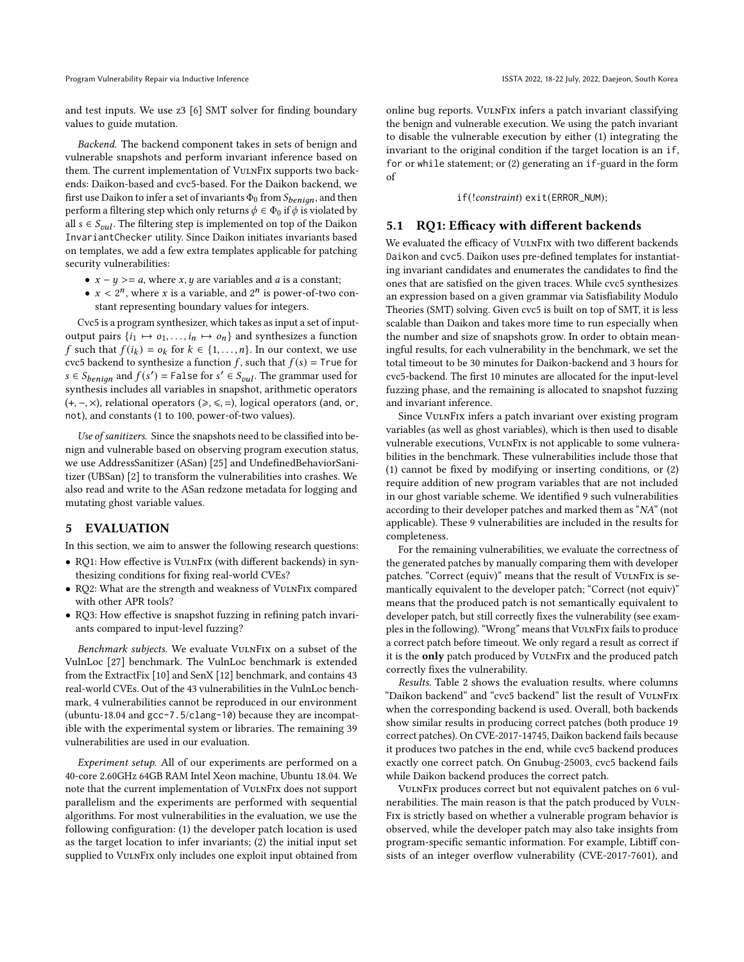Program Vulnerability Repair via Inductive Inference **Interact 2022, 18-22 July, 2022, Daejeon**, South Korea

and test inputs. We use z3 [\[6\]](#page-10-9) SMT solver for finding boundary values to guide mutation.

Backend. The backend component takes in sets of benign and vulnerable snapshots and perform invariant inference based on them. The current implementation of VulnFix supports two backends: Daikon-based and cvc5-based. For the Daikon backend, we first use Daikon to infer a set of invariants  $\Phi_0$  from  $S_{benion}$ , and then perform a filtering step which only returns  $\phi \in \Phi_0$  if  $\phi$  is violated by all  $s \in S_{inl}$ . The filtering step is implemented on top of the Daikon InvariantChecker utility. Since Daikon initiates invariants based on templates, we add a few extra templates applicable for patching security vulnerabilities:

- $x y \ge a$ , where *x*, *y* are variables and *a* is a constant;
- $x < 2^n$ , where x is a variable, and  $2^n$  is power-of-two constant representing boundary values for integers.

Cvc5 is a program synthesizer, which takes as input a set of inputoutput pairs  $\{i_1 \mapsto o_1, \ldots, i_n \mapsto o_n\}$  and synthesizes a function f such that  $f(i_k) = o_k$  for  $k \in \{1, ..., n\}$ . In our context, we use cvc5 backend to synthesize a function  $f$ , such that  $f(s) =$  True for  $s \in S_{benian}$  and  $f(s') =$  False for  $s' \in S_{vul}$ . The grammar used for synthesis includes all variables in snapshot, arithmetic operators (+, −, ×), relational operators (⩾, ⩽, =), logical operators (and, or, not), and constants (1 to 100, power-of-two values).

Use of sanitizers. Since the snapshots need to be classified into benign and vulnerable based on observing program execution status, we use AddressSanitizer (ASan) [\[25\]](#page-11-7) and UndefinedBehaviorSanitizer (UBSan) [\[2\]](#page-10-10) to transform the vulnerabilities into crashes. We also read and write to the ASan redzone metadata for logging and mutating ghost variable values.

# 5 EVALUATION

In this section, we aim to answer the following research questions:

- RQ1: How effective is VulnFix (with different backends) in synthesizing conditions for fixing real-world CVEs?
- RQ2: What are the strength and weakness of VulnFix compared with other APR tools?
- RQ3: How effective is snapshot fuzzing in refining patch invariants compared to input-level fuzzing?

Benchmark subjects. We evaluate VulnFix on a subset of the VulnLoc [\[27\]](#page-11-6) benchmark. The VulnLoc benchmark is extended from the ExtractFix [\[10\]](#page-10-2) and SenX [\[12\]](#page-10-1) benchmark, and contains 43 real-world CVEs. Out of the 43 vulnerabilities in the VulnLoc benchmark, 4 vulnerabilities cannot be reproduced in our environment (ubuntu-18.04 and gcc-7.5/clang-10) because they are incompatible with the experimental system or libraries. The remaining 39 vulnerabilities are used in our evaluation.

Experiment setup. All of our experiments are performed on a 40-core 2.60GHz 64GB RAM Intel Xeon machine, Ubuntu 18.04. We note that the current implementation of VulnFix does not support parallelism and the experiments are performed with sequential algorithms. For most vulnerabilities in the evaluation, we use the following configuration: (1) the developer patch location is used as the target location to infer invariants; (2) the initial input set supplied to VULNFIX only includes one exploit input obtained from online bug reports. VulnFix infers a patch invariant classifying the benign and vulnerable execution. We using the patch invariant to disable the vulnerable execution by either (1) integrating the invariant to the original condition if the target location is an if, for or while statement; or (2) generating an if-guard in the form of

if(!constraint) exit(ERROR\_NUM);

# 5.1 RQ1: Efficacy with different backends

We evaluated the efficacy of VULNFIX with two different backends Daikon and cvc5. Daikon uses pre-defined templates for instantiating invariant candidates and enumerates the candidates to find the ones that are satisfied on the given traces. While cvc5 synthesizes an expression based on a given grammar via Satisfiability Modulo Theories (SMT) solving. Given cvc5 is built on top of SMT, it is less scalable than Daikon and takes more time to run especially when the number and size of snapshots grow. In order to obtain meaningful results, for each vulnerability in the benchmark, we set the total timeout to be 30 minutes for Daikon-backend and 3 hours for cvc5-backend. The first 10 minutes are allocated for the input-level fuzzing phase, and the remaining is allocated to snapshot fuzzing and invariant inference.

Since VulnFix infers a patch invariant over existing program variables (as well as ghost variables), which is then used to disable vulnerable executions, VulnFix is not applicable to some vulnerabilities in the benchmark. These vulnerabilities include those that (1) cannot be fixed by modifying or inserting conditions, or (2) require addition of new program variables that are not included in our ghost variable scheme. We identified 9 such vulnerabilities according to their developer patches and marked them as "NA" (not applicable). These 9 vulnerabilities are included in the results for completeness.

For the remaining vulnerabilities, we evaluate the correctness of the generated patches by manually comparing them with developer patches. "Correct (equiv)" means that the result of VulnFix is semantically equivalent to the developer patch; "Correct (not equiv)" means that the produced patch is not semantically equivalent to developer patch, but still correctly fixes the vulnerability (see examples in the following). "Wrong" means that VULNFIX fails to produce a correct patch before timeout. We only regard a result as correct if it is the only patch produced by VULNFIX and the produced patch correctly fixes the vulnerability.

Results. Table [2](#page-7-0) shows the evaluation results, where columns "Daikon backend" and "cvc5 backend" list the result of VulnFix when the corresponding backend is used. Overall, both backends show similar results in producing correct patches (both produce 19 correct patches). On CVE-2017-14745, Daikon backend fails because it produces two patches in the end, while cvc5 backend produces exactly one correct patch. On Gnubug-25003, cvc5 backend fails while Daikon backend produces the correct patch.

VulnFix produces correct but not equivalent patches on 6 vulnerabilities. The main reason is that the patch produced by VULN-Fix is strictly based on whether a vulnerable program behavior is observed, while the developer patch may also take insights from program-specific semantic information. For example, Libtiff consists of an integer overflow vulnerability (CVE-2017-7601), and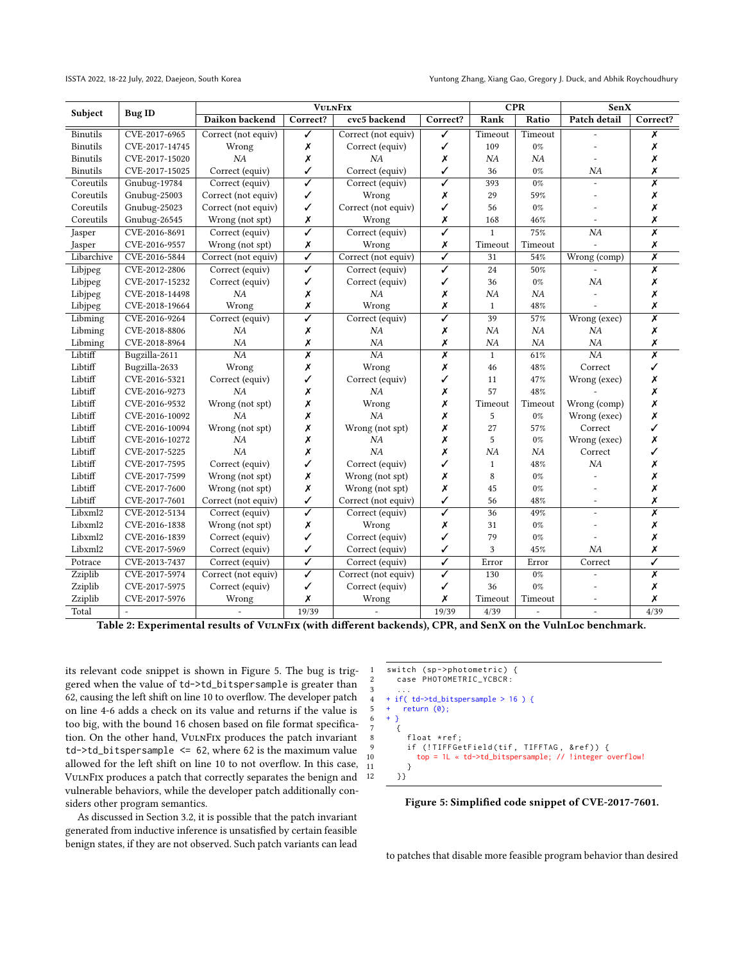<span id="page-7-0"></span>

| Subject         | <b>Bug ID</b>  | <b>VULNFIX</b>      |                         |                          |                         | <b>CPR</b>   |                | <b>SenX</b>     |                         |
|-----------------|----------------|---------------------|-------------------------|--------------------------|-------------------------|--------------|----------------|-----------------|-------------------------|
|                 |                | Daikon backend      | Correct?                | cvc5 backend             | Correct?                | Rank         | Ratio          | Patch detail    | Correct?                |
| Binutils        | CVE-2017-6965  | Correct (not equiv) | ✓                       | Correct (not equiv)      | ✓                       | Timeout      | Timeout        |                 | Х                       |
| <b>Binutils</b> | CVE-2017-14745 | Wrong               | Х                       | Correct (equiv)          | ✓                       | 109          | 0%             |                 | Х                       |
| <b>Binutils</b> | CVE-2017-15020 | NA                  | Х                       | NA                       | Х                       | NA           | NA             |                 | Х                       |
| <b>Binutils</b> | CVE-2017-15025 | Correct (equiv)     | ✓                       | Correct (equiv)          | ✓                       | 36           | 0%             | NA              | Х                       |
| Coreutils       | Gnubug-19784   | Correct (equiv)     | ✓                       | Correct (equiv)          | ✓                       | 393          | 0%             |                 | X                       |
| Coreutils       | Gnubug-25003   | Correct (not equiv) | ✓                       | Wrong                    | x                       | 29           | 59%            |                 | Х                       |
| Coreutils       | Gnubug-25023   | Correct (not equiv) | ✓                       | Correct (not equiv)      | ✓                       | 56           | 0%             |                 | Х                       |
| Coreutils       | Gnubug-26545   | Wrong (not spt)     | Х                       | Wrong                    | Х                       | 168          | 46%            |                 | Х                       |
| Jasper          | CVE-2016-8691  | Correct (equiv)     | $\overline{\checkmark}$ | Correct (equiv)          | ✓                       | $\mathbf{1}$ | 75%            | $\overline{NA}$ | $\overline{\mathsf{x}}$ |
| Jasper          | CVE-2016-9557  | Wrong (not spt)     | Х                       | Wrong                    | x                       | Timeout      | Timeout        |                 | Х                       |
| Libarchive      | CVE-2016-5844  | Correct (not equiv) | $\overline{\checkmark}$ | Correct (not equiv)      | ✓                       | 31           | 54%            | Wrong (comp)    | $\overline{\mathsf{x}}$ |
| Libjpeg         | CVE-2012-2806  | Correct (equiv)     | ✓                       | Correct (equiv)          | $\overline{\checkmark}$ | 24           | 50%            |                 | X                       |
| Libjpeg         | CVE-2017-15232 | Correct (equiv)     | ✓                       | Correct (equiv)          | ✓                       | 36           | $0\%$          | NA              | Х                       |
| Libjpeg         | CVE-2018-14498 | NA                  | Х                       | NA                       | x                       | NA           | NA             |                 | Х                       |
| Libjpeg         | CVE-2018-19664 | Wrong               | Х                       | Wrong                    | x                       | $\mathbf{1}$ | 48%            |                 | Х                       |
| Libming         | CVE-2016-9264  | Correct (equiv)     | ✓                       | Correct (equiv)          | ✓                       | 39           | 57%            | Wrong (exec)    | $\overline{\mathsf{x}}$ |
| Libming         | CVE-2018-8806  | NA                  | Х                       | NA                       | Х                       | NA           | NA             | NA              | Х                       |
| Libming         | CVE-2018-8964  | NA                  | Х                       | NA                       | Х                       | NA           | NA             | NA              | Х                       |
| Libtiff         | Bugzilla-2611  | $\overline{NA}$     | $\overline{\mathsf{x}}$ | $\overline{NA}$          | $\overline{\mathbf{x}}$ | $\mathbf{1}$ | 61%            | $\overline{NA}$ | $\overline{\mathsf{x}}$ |
| Libtiff         | Bugzilla-2633  | Wrong               | Х                       | Wrong                    | x                       | 46           | 48%            | Correct         | ✓                       |
| Libtiff         | CVE-2016-5321  | Correct (equiv)     | ✓                       | Correct (equiv)          | ✓                       | 11           | 47%            | Wrong (exec)    | Х                       |
| Libtiff         | CVE-2016-9273  | NA                  | Х                       | NA                       | Х                       | 57           | 48%            |                 | Х                       |
| Libtiff         | CVE-2016-9532  | Wrong (not spt)     | Х                       | Wrong                    | х                       | Timeout      | Timeout        | Wrong (comp)    | X                       |
| Libtiff         | CVE-2016-10092 | NA                  | Х                       | NA                       | Х                       | 5            | 0%             | Wrong (exec)    | Х                       |
| Libtiff         | CVE-2016-10094 | Wrong (not spt)     | X                       | Wrong (not spt)          | х                       | 27           | 57%            | Correct         | ✓                       |
| Libtiff         | CVE-2016-10272 | NA                  | Х                       | NA                       | Х                       | 5            | 0%             | Wrong (exec)    | Х                       |
| Libtiff         | CVE-2017-5225  | NA                  | Х                       | NA                       | X                       | NA           | <b>NA</b>      | Correct         | ✓                       |
| Libtiff         | CVE-2017-7595  | Correct (equiv)     | ✓                       | Correct (equiv)          | ✓                       | $\mathbf{1}$ | 48%            | NA              | Х                       |
| Libtiff         | CVE-2017-7599  | Wrong (not spt)     | Х                       | Wrong (not spt)          | х                       | 8            | 0%             |                 | X                       |
| Libtiff         | CVE-2017-7600  | Wrong (not spt)     | Х                       | Wrong (not spt)          | Х                       | 45           | 0%             |                 | Х                       |
| Libtiff         | CVE-2017-7601  | Correct (not equiv) | ✓                       | Correct (not equiv)      | ✓                       | 56           | 48%            |                 | Х                       |
| Libxml2         | CVE-2012-5134  | Correct (equiv)     | ✓                       | Correct (equiv)          | ✓                       | 36           | 49%            | $\overline{a}$  | $\overline{\mathsf{x}}$ |
| Libxml2         | CVE-2016-1838  | Wrong (not spt)     | Х                       | Wrong                    | Х                       | 31           | 0%             |                 | X                       |
| Libxml2         | CVE-2016-1839  | Correct (equiv)     | ✓                       | Correct (equiv)          | ✓                       | 79           | 0%             |                 | X                       |
| Libxml2         | CVE-2017-5969  | Correct (equiv)     | ✓                       | Correct (equiv)          | ✓                       | 3            | 45%            | N <sub>A</sub>  | X                       |
| Potrace         | CVE-2013-7437  | Correct (equiv)     | ✓                       | Correct (equiv)          | ✓                       | Error        | Error          | Correct         | ✓                       |
| Zziplib         | CVE-2017-5974  | Correct (not equiv) | $\overline{\checkmark}$ | Correct (not equiv)      | ✓                       | 130          | $0\%$          |                 | $\overline{\mathsf{x}}$ |
| Zziplib         | CVE-2017-5975  | Correct (equiv)     | ✓                       | Correct (equiv)          | ✓                       | 36           | 0%             |                 | Х                       |
| Zziplib         | CVE-2017-5976  | Wrong               | X                       | Wrong                    | Х                       | Timeout      | Timeout        | $\overline{a}$  | X                       |
| Total           | $\omega$       | $\blacksquare$      | 19/39                   | $\overline{\phantom{a}}$ | 19/39                   | 4/39         | $\overline{a}$ | $\bar{ }$       | 4/39                    |

Table 2: Experimental results of VulnFix (with different backends), CPR, and SenX on the VulnLoc benchmark.

its relevant code snippet is shown in Figure [5.](#page-7-1) The bug is triggered when the value of td->td\_bitspersample is greater than 62, causing the left shift on line 10 to overflow. The developer patch on line 4-6 adds a check on its value and returns if the value is too big, with the bound 16 chosen based on file format specification. On the other hand, VulnFix produces the patch invariant  $td$ ->td\_bitspersample  $\leq$  62, where 62 is the maximum value allowed for the left shift on line 10 to not overflow. In this case, VulnFix produces a patch that correctly separates the benign and vulnerable behaviors, while the developer patch additionally considers other program semantics.

As discussed in Section [3.2,](#page-4-1) it is possible that the patch invariant generated from inductive inference is unsatisfied by certain feasible benign states, if they are not observed. Such patch variants can lead

<span id="page-7-1"></span>

Figure 5: Simplified code snippet of CVE-2017-7601.

to patches that disable more feasible program behavior than desired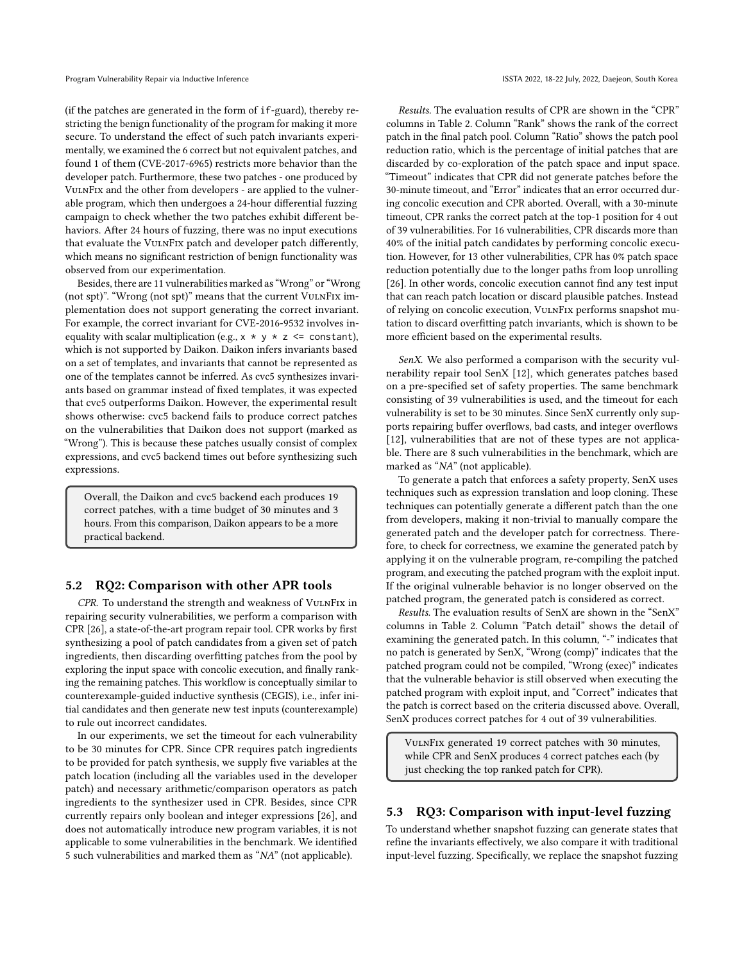(if the patches are generated in the form of if-guard), thereby restricting the benign functionality of the program for making it more secure. To understand the effect of such patch invariants experimentally, we examined the 6 correct but not equivalent patches, and found 1 of them (CVE-2017-6965) restricts more behavior than the developer patch. Furthermore, these two patches - one produced by VulnFix and the other from developers - are applied to the vulnerable program, which then undergoes a 24-hour differential fuzzing campaign to check whether the two patches exhibit different behaviors. After 24 hours of fuzzing, there was no input executions that evaluate the VulnFix patch and developer patch differently, which means no significant restriction of benign functionality was observed from our experimentation.

Besides, there are 11 vulnerabilities marked as "Wrong" or "Wrong (not spt)". "Wrong (not spt)" means that the current VulnFix implementation does not support generating the correct invariant. For example, the correct invariant for CVE-2016-9532 involves inequality with scalar multiplication (e.g.,  $x * y * z \le$  constant), which is not supported by Daikon. Daikon infers invariants based on a set of templates, and invariants that cannot be represented as one of the templates cannot be inferred. As cvc5 synthesizes invariants based on grammar instead of fixed templates, it was expected that cvc5 outperforms Daikon. However, the experimental result shows otherwise: cvc5 backend fails to produce correct patches on the vulnerabilities that Daikon does not support (marked as "Wrong"). This is because these patches usually consist of complex expressions, and cvc5 backend times out before synthesizing such expressions.

Overall, the Daikon and cvc5 backend each produces 19 correct patches, with a time budget of 30 minutes and 3 hours. From this comparison, Daikon appears to be a more practical backend.

# 5.2 RQ2: Comparison with other APR tools

CPR. To understand the strength and weakness of VULNFIX in repairing security vulnerabilities, we perform a comparison with CPR [\[26\]](#page-11-2), a state-of-the-art program repair tool. CPR works by first synthesizing a pool of patch candidates from a given set of patch ingredients, then discarding overfitting patches from the pool by exploring the input space with concolic execution, and finally ranking the remaining patches. This workflow is conceptually similar to counterexample-guided inductive synthesis (CEGIS), i.e., infer initial candidates and then generate new test inputs (counterexample) to rule out incorrect candidates.

In our experiments, we set the timeout for each vulnerability to be 30 minutes for CPR. Since CPR requires patch ingredients to be provided for patch synthesis, we supply five variables at the patch location (including all the variables used in the developer patch) and necessary arithmetic/comparison operators as patch ingredients to the synthesizer used in CPR. Besides, since CPR currently repairs only boolean and integer expressions [\[26\]](#page-11-2), and does not automatically introduce new program variables, it is not applicable to some vulnerabilities in the benchmark. We identified 5 such vulnerabilities and marked them as "NA" (not applicable).

Results. The evaluation results of CPR are shown in the "CPR" columns in Table [2.](#page-7-0) Column "Rank" shows the rank of the correct patch in the final patch pool. Column "Ratio" shows the patch pool reduction ratio, which is the percentage of initial patches that are discarded by co-exploration of the patch space and input space. "Timeout" indicates that CPR did not generate patches before the 30-minute timeout, and "Error" indicates that an error occurred during concolic execution and CPR aborted. Overall, with a 30-minute timeout, CPR ranks the correct patch at the top-1 position for 4 out of 39 vulnerabilities. For 16 vulnerabilities, CPR discards more than 40% of the initial patch candidates by performing concolic execution. However, for 13 other vulnerabilities, CPR has 0% patch space reduction potentially due to the longer paths from loop unrolling [\[26\]](#page-11-2). In other words, concolic execution cannot find any test input that can reach patch location or discard plausible patches. Instead of relying on concolic execution, VulnFix performs snapshot mutation to discard overfitting patch invariants, which is shown to be more efficient based on the experimental results.

SenX. We also performed a comparison with the security vulnerability repair tool SenX [\[12\]](#page-10-1), which generates patches based on a pre-specified set of safety properties. The same benchmark consisting of 39 vulnerabilities is used, and the timeout for each vulnerability is set to be 30 minutes. Since SenX currently only supports repairing buffer overflows, bad casts, and integer overflows [\[12\]](#page-10-1), vulnerabilities that are not of these types are not applicable. There are 8 such vulnerabilities in the benchmark, which are marked as "NA" (not applicable).

To generate a patch that enforces a safety property, SenX uses techniques such as expression translation and loop cloning. These techniques can potentially generate a different patch than the one from developers, making it non-trivial to manually compare the generated patch and the developer patch for correctness. Therefore, to check for correctness, we examine the generated patch by applying it on the vulnerable program, re-compiling the patched program, and executing the patched program with the exploit input. If the original vulnerable behavior is no longer observed on the patched program, the generated patch is considered as correct.

Results. The evaluation results of SenX are shown in the "SenX" columns in Table [2.](#page-7-0) Column "Patch detail" shows the detail of examining the generated patch. In this column, "-" indicates that no patch is generated by SenX, "Wrong (comp)" indicates that the patched program could not be compiled, "Wrong (exec)" indicates that the vulnerable behavior is still observed when executing the patched program with exploit input, and "Correct" indicates that the patch is correct based on the criteria discussed above. Overall, SenX produces correct patches for 4 out of 39 vulnerabilities.

VulnFix generated 19 correct patches with 30 minutes, while CPR and SenX produces 4 correct patches each (by just checking the top ranked patch for CPR).

# 5.3 RQ3: Comparison with input-level fuzzing

To understand whether snapshot fuzzing can generate states that refine the invariants effectively, we also compare it with traditional input-level fuzzing. Specifically, we replace the snapshot fuzzing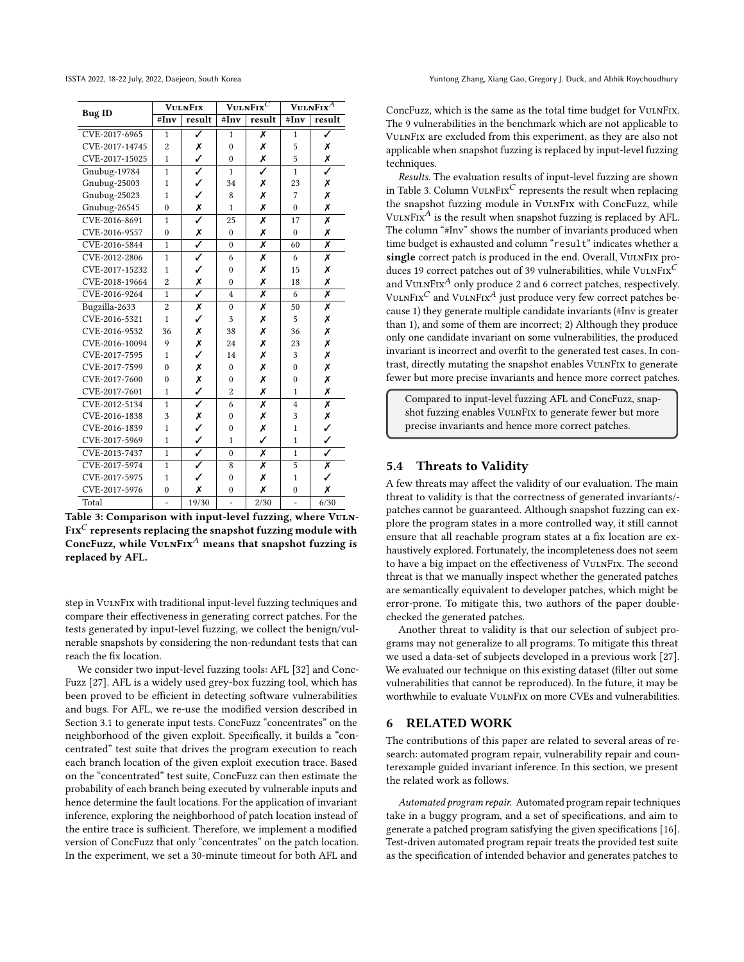<span id="page-9-0"></span>

|                | <b>VULNFIX</b> |                         |                  | VULNFIX <sup>C</sup>    | $\overline{\text{VulnFix}^A}$ |                         |  |
|----------------|----------------|-------------------------|------------------|-------------------------|-------------------------------|-------------------------|--|
| <b>Bug ID</b>  | #Inv           | result                  | # $\mathbf{Inv}$ | result                  | #Inv                          | result                  |  |
| CVE-2017-6965  | $\mathbf{1}$   | ✓                       | $\mathbf{1}$     | Х                       | $\mathbf{1}$                  | Ī                       |  |
| CVE-2017-14745 | $\overline{2}$ | Х                       | $\mathbf{0}$     | Х                       | 5                             | Х                       |  |
| CVE-2017-15025 | $\mathbf{1}$   | $\checkmark$            | $\theta$         | Х                       | 5                             | X                       |  |
| Gnubug-19784   | $\mathbf{1}$   | $\overline{\checkmark}$ | $\mathbf{1}$     | ✓                       | $\mathbf{1}$                  | ✓                       |  |
| Gnubug-25003   | 1              | $\checkmark$            | 34               | Х                       | 23                            | Х                       |  |
| Gnubug-25023   | 1              | ✓                       | 8                | X                       | 7                             | Х                       |  |
| Gnubug-26545   | $\mathbf{0}$   | $\frac{x}{\sqrt{2}}$    | $\mathbf{1}$     | X                       | $\mathbf{0}$                  | X                       |  |
| CVE-2016-8691  | 1              |                         | 25               | X                       | 17                            | $\overline{\mathsf{x}}$ |  |
| CVE-2016-9557  | $\mathbf{0}$   | X                       | $\mathbf{0}$     | Х                       | $\mathbf{0}$                  | Х                       |  |
| CVE-2016-5844  | $\mathbf{1}$   | $\overline{\checkmark}$ | $\mathbf{0}$     | X                       | 60                            | X                       |  |
| CVE-2012-2806  | $\mathbf{1}$   | ✓                       | 6                | Х                       | 6                             | Х                       |  |
| CVE-2017-15232 | 1              | ✓                       | $\mathbf{0}$     | Х                       | 15                            | Х                       |  |
| CVE-2018-19664 | $\overline{2}$ | Х                       | $\mathbf{0}$     | Х                       | 18                            | Х                       |  |
| CVE-2016-9264  | $\mathbf{1}$   | $\overline{\checkmark}$ | 4                | X                       | 6                             | X                       |  |
| Bugzilla-2633  | $\overline{2}$ | Х                       | $\mathbf{0}$     | X                       | 50                            | X                       |  |
| CVE-2016-5321  | $\mathbf{1}$   | ✓                       | 3                | Х                       | 5                             | Х                       |  |
| CVE-2016-9532  | 36             | Х                       | 38               | Х                       | 36                            | Х                       |  |
| CVE-2016-10094 | $\mathbf Q$    | Х                       | 24               | Х                       | 23                            | Х                       |  |
| CVE-2017-7595  | $\mathbf{1}$   | J                       | 14               | X                       | 3                             | Х                       |  |
| CVE-2017-7599  | $\theta$       | Х                       | $\theta$         | X                       | $\theta$                      | Х                       |  |
| CVE-2017-7600  | $\theta$       | X                       | $\theta$         | Х                       | $\mathbf{0}$                  | Х                       |  |
| CVE-2017-7601  | $\mathbf{1}$   | ✓                       | $\overline{2}$   | Х                       | 1                             | Х                       |  |
| CVE-2012-5134  | $\mathbf{1}$   | $\overline{\checkmark}$ | 6                | $\overline{\textsf{x}}$ | $\overline{4}$                | $\overline{\mathsf{x}}$ |  |
| CVE-2016-1838  | 3              | $\frac{x}{1}$           | $\mathbf{0}$     | Х                       | 3                             | $\frac{x}{1}$           |  |
| CVE-2016-1839  | $\mathbf{1}$   |                         | $\mathbf{0}$     | Х                       | $\mathbf{1}$                  |                         |  |
| CVE-2017-5969  | $\mathbf{1}$   | ✓                       | $\mathbf{1}$     | J                       | $\mathbf{1}$                  | $\checkmark$            |  |
| CVE-2013-7437  | $\mathbf{1}$   | $\overline{\checkmark}$ | $\theta$         | X                       | $\mathbf{1}$                  | $\overline{\checkmark}$ |  |
| CVE-2017-5974  | $\mathbf{1}$   | ✓                       | 8                | Х                       | 5                             | Х                       |  |
| CVE-2017-5975  | $\mathbf{1}$   | ✓                       | $\mathbf{0}$     | Х                       | $\mathbf{1}$                  | ✓                       |  |
| CVE-2017-5976  | $\mathbf{0}$   | X                       | $\mathbf{0}$     | Х                       | $\mathbf{0}$                  | Х                       |  |
| Total          |                | 19/30                   |                  | 2/30                    |                               | 6/30                    |  |

Table 3: Comparison with input-level fuzzing, where VULN- $Fix^C$  represents replacing the snapshot fuzzing module with ConcFuzz, while  $V \cup I \cap K^A$  means that snapshot fuzzing is replaced by AFL.

step in VulnFix with traditional input-level fuzzing techniques and compare their effectiveness in generating correct patches. For the tests generated by input-level fuzzing, we collect the benign/vulnerable snapshots by considering the non-redundant tests that can reach the fix location.

We consider two input-level fuzzing tools: AFL [\[32\]](#page-11-5) and Conc-Fuzz [\[27\]](#page-11-6). AFL is a widely used grey-box fuzzing tool, which has been proved to be efficient in detecting software vulnerabilities and bugs. For AFL, we re-use the modified version described in Section [3.1](#page-3-2) to generate input tests. ConcFuzz "concentrates" on the neighborhood of the given exploit. Specifically, it builds a "concentrated" test suite that drives the program execution to reach each branch location of the given exploit execution trace. Based on the "concentrated" test suite, ConcFuzz can then estimate the probability of each branch being executed by vulnerable inputs and hence determine the fault locations. For the application of invariant inference, exploring the neighborhood of patch location instead of the entire trace is sufficient. Therefore, we implement a modified version of ConcFuzz that only "concentrates" on the patch location. In the experiment, we set a 30-minute timeout for both AFL and

ConcFuzz, which is the same as the total time budget for VULNFIX. The 9 vulnerabilities in the benchmark which are not applicable to VulnFix are excluded from this experiment, as they are also not applicable when snapshot fuzzing is replaced by input-level fuzzing techniques.

Results. The evaluation results of input-level fuzzing are shown in Table [3.](#page-9-0) Column VULNFIX<sup>C</sup> represents the result when replacing the snapshot fuzzing module in VulnFix with ConcFuzz, while VULNFIX $^A$  is the result when snapshot fuzzing is replaced by AFL. The column "#Inv" shows the number of invariants produced when time budget is exhausted and column "result" indicates whether a single correct patch is produced in the end. Overall, VULNFIX produces 19 correct patches out of 39 vulnerabilities, while  $V \text{ULN} \text{Fix}^C$ and VULNFIX<sup>A</sup> only produce 2 and 6 correct patches, respectively. VULNFIX<sup>C</sup> and VULNFIX<sup>A</sup> just produce very few correct patches because 1) they generate multiple candidate invariants (#Inv is greater than 1), and some of them are incorrect; 2) Although they produce only one candidate invariant on some vulnerabilities, the produced invariant is incorrect and overfit to the generated test cases. In contrast, directly mutating the snapshot enables VulnFix to generate fewer but more precise invariants and hence more correct patches.

Compared to input-level fuzzing AFL and ConcFuzz, snapshot fuzzing enables VulnFix to generate fewer but more precise invariants and hence more correct patches.

# 5.4 Threats to Validity

A few threats may affect the validity of our evaluation. The main threat to validity is that the correctness of generated invariants/ patches cannot be guaranteed. Although snapshot fuzzing can explore the program states in a more controlled way, it still cannot ensure that all reachable program states at a fix location are exhaustively explored. Fortunately, the incompleteness does not seem to have a big impact on the effectiveness of VulnFix. The second threat is that we manually inspect whether the generated patches are semantically equivalent to developer patches, which might be error-prone. To mitigate this, two authors of the paper doublechecked the generated patches.

Another threat to validity is that our selection of subject programs may not generalize to all programs. To mitigate this threat we used a data-set of subjects developed in a previous work [\[27\]](#page-11-6). We evaluated our technique on this existing dataset (filter out some vulnerabilities that cannot be reproduced). In the future, it may be worthwhile to evaluate VulnFix on more CVEs and vulnerabilities.

#### 6 RELATED WORK

The contributions of this paper are related to several areas of research: automated program repair, vulnerability repair and counterexample guided invariant inference. In this section, we present the related work as follows.

Automated program repair. Automated program repair techniques take in a buggy program, and a set of specifications, and aim to generate a patched program satisfying the given specifications [\[16\]](#page-10-0). Test-driven automated program repair treats the provided test suite as the specification of intended behavior and generates patches to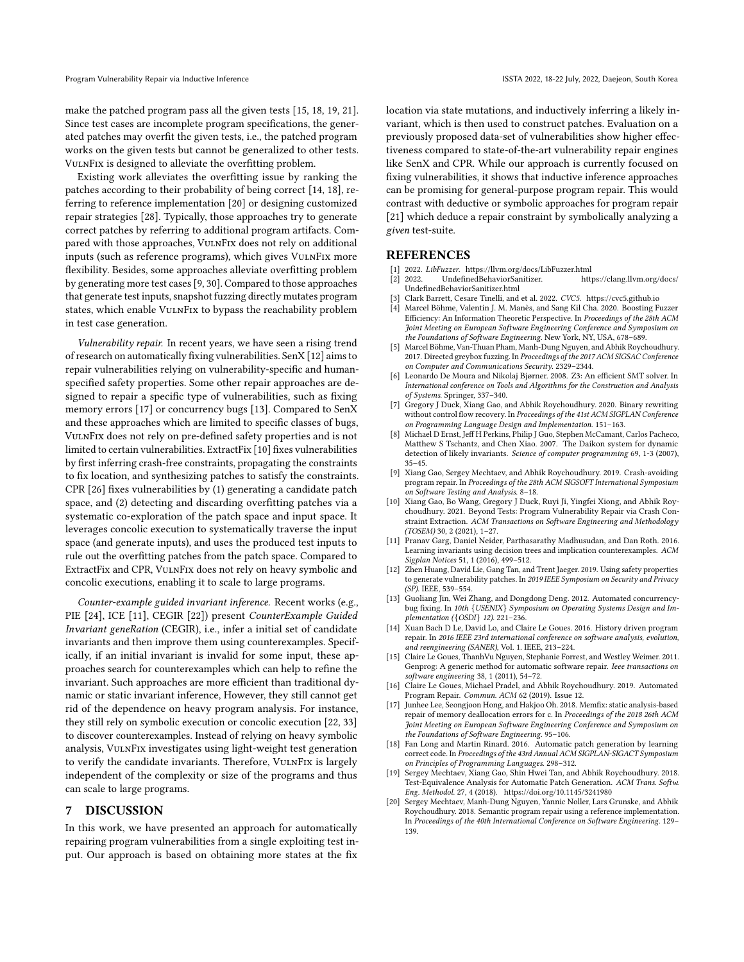make the patched program pass all the given tests [\[15,](#page-10-11) [18,](#page-10-12) [19,](#page-10-13) [21\]](#page-11-1). Since test cases are incomplete program specifications, the generated patches may overfit the given tests, i.e., the patched program works on the given tests but cannot be generalized to other tests. VulnFix is designed to alleviate the overfitting problem.

Existing work alleviates the overfitting issue by ranking the patches according to their probability of being correct [\[14,](#page-10-14) [18\]](#page-10-12), referring to reference implementation [\[20\]](#page-10-15) or designing customized repair strategies [\[28\]](#page-11-9). Typically, those approaches try to generate correct patches by referring to additional program artifacts. Compared with those approaches, VulnFix does not rely on additional inputs (such as reference programs), which gives VulnFix more flexibility. Besides, some approaches alleviate overfitting problem by generating more test cases [\[9,](#page-10-16) [30\]](#page-11-10). Compared to those approaches that generate test inputs, snapshot fuzzing directly mutates program states, which enable VULNFIX to bypass the reachability problem in test case generation.

Vulnerability repair. In recent years, we have seen a rising trend of research on automatically fixing vulnerabilities. SenX [\[12\]](#page-10-1) aims to repair vulnerabilities relying on vulnerability-specific and humanspecified safety properties. Some other repair approaches are designed to repair a specific type of vulnerabilities, such as fixing memory errors [\[17\]](#page-10-17) or concurrency bugs [\[13\]](#page-10-18). Compared to SenX and these approaches which are limited to specific classes of bugs, VulnFix does not rely on pre-defined safety properties and is not limited to certain vulnerabilities. ExtractFix [\[10\]](#page-10-2) fixes vulnerabilities by first inferring crash-free constraints, propagating the constraints to fix location, and synthesizing patches to satisfy the constraints. CPR [\[26\]](#page-11-2) fixes vulnerabilities by (1) generating a candidate patch space, and (2) detecting and discarding overfitting patches via a systematic co-exploration of the patch space and input space. It leverages concolic execution to systematically traverse the input space (and generate inputs), and uses the produced test inputs to rule out the overfitting patches from the patch space. Compared to ExtractFix and CPR, VulnFix does not rely on heavy symbolic and concolic executions, enabling it to scale to large programs.

Counter-example guided invariant inference. Recent works (e.g., PIE [\[24\]](#page-11-11), ICE [\[11\]](#page-10-19), CEGIR [\[22\]](#page-11-12)) present CounterExample Guided Invariant geneRation (CEGIR), i.e., infer a initial set of candidate invariants and then improve them using counterexamples. Specifically, if an initial invariant is invalid for some input, these approaches search for counterexamples which can help to refine the invariant. Such approaches are more efficient than traditional dynamic or static invariant inference, However, they still cannot get rid of the dependence on heavy program analysis. For instance, they still rely on symbolic execution or concolic execution [\[22,](#page-11-12) [33\]](#page-11-13) to discover counterexamples. Instead of relying on heavy symbolic analysis, VulnFix investigates using light-weight test generation to verify the candidate invariants. Therefore, VulnFix is largely independent of the complexity or size of the programs and thus can scale to large programs.

# 7 DISCUSSION

In this work, we have presented an approach for automatically repairing program vulnerabilities from a single exploiting test input. Our approach is based on obtaining more states at the fix

location via state mutations, and inductively inferring a likely invariant, which is then used to construct patches. Evaluation on a previously proposed data-set of vulnerabilities show higher effectiveness compared to state-of-the-art vulnerability repair engines like SenX and CPR. While our approach is currently focused on fixing vulnerabilities, it shows that inductive inference approaches can be promising for general-purpose program repair. This would contrast with deductive or symbolic approaches for program repair [\[21\]](#page-11-1) which deduce a repair constraint by symbolically analyzing a given test-suite.

# REFERENCES

- <span id="page-10-10"></span><span id="page-10-3"></span>
- [1] 2022. LibFuzzer.<https://llvm.org/docs/LibFuzzer.html>  $[2]$  2022. UndefinedBehaviorSanitizer. [UndefinedBehaviorSanitizer.html](https://clang.llvm.org/docs/UndefinedBehaviorSanitizer.html)
- <span id="page-10-6"></span>[3] Clark Barrett, Cesare Tinelli, and et al. 2022. CVC5.<https://cvc5.github.io>
- <span id="page-10-7"></span>Marcel Böhme, Valentin J. M. Manès, and Sang Kil Cha. 2020. Boosting Fuzzer Efficiency: An Information Theoretic Perspective. In Proceedings of the 28th ACM Joint Meeting on European Software Engineering Conference and Symposium on the Foundations of Software Engineering. New York, NY, USA, 678–689.
- <span id="page-10-4"></span>[5] Marcel Böhme, Van-Thuan Pham, Manh-Dung Nguyen, and Abhik Roychoudhury. 2017. Directed greybox fuzzing. In Proceedings of the 2017 ACM SIGSAC Conference on Computer and Communications Security. 2329–2344.
- <span id="page-10-9"></span>[6] Leonardo De Moura and Nikolaj Bjørner. 2008. Z3: An efficient SMT solver. In International conference on Tools and Algorithms for the Construction and Analysis of Systems. Springer, 337–340.
- <span id="page-10-8"></span>[7] Gregory J Duck, Xiang Gao, and Abhik Roychoudhury. 2020. Binary rewriting without control flow recovery. In Proceedings of the 41st ACM SIGPLAN Conference on Programming Language Design and Implementation. 151–163.
- <span id="page-10-5"></span>[8] Michael D Ernst, Jeff H Perkins, Philip J Guo, Stephen McCamant, Carlos Pacheco, Matthew S Tschantz, and Chen Xiao. 2007. The Daikon system for dynamic detection of likely invariants. Science of computer programming 69, 1-3 (2007), 35–45.
- <span id="page-10-16"></span>[9] Xiang Gao, Sergey Mechtaev, and Abhik Roychoudhury. 2019. Crash-avoiding program repair. In Proceedings of the 28th ACM SIGSOFT International Symposium on Software Testing and Analysis. 8–18.
- <span id="page-10-2"></span>[10] Xiang Gao, Bo Wang, Gregory J Duck, Ruyi Ji, Yingfei Xiong, and Abhik Roychoudhury. 2021. Beyond Tests: Program Vulnerability Repair via Crash Constraint Extraction. ACM Transactions on Software Engineering and Methodology (TOSEM) 30, 2 (2021), 1–27.
- <span id="page-10-19"></span>[11] Pranav Garg, Daniel Neider, Parthasarathy Madhusudan, and Dan Roth. 2016. Learning invariants using decision trees and implication counterexamples. ACM Sigplan Notices 51, 1 (2016), 499–512.
- <span id="page-10-1"></span>[12] Zhen Huang, David Lie, Gang Tan, and Trent Jaeger. 2019. Using safety properties to generate vulnerability patches. In 2019 IEEE Symposium on Security and Privacy (SP). IEEE, 539–554.
- <span id="page-10-18"></span>[13] Guoliang Jin, Wei Zhang, and Dongdong Deng. 2012. Automated concurrencybug fixing. In 10th {USENIX} Symposium on Operating Systems Design and Implementation ({OSDI} 12). 221–236.
- <span id="page-10-14"></span>[14] Xuan Bach D Le, David Lo, and Claire Le Goues. 2016. History driven program repair. In 2016 IEEE 23rd international conference on software analysis, evolution, and reengineering (SANER), Vol. 1. IEEE, 213–224.
- <span id="page-10-11"></span>[15] Claire Le Goues, ThanhVu Nguyen, Stephanie Forrest, and Westley Weimer. 2011. Genprog: A generic method for automatic software repair. Ieee transactions on software engineering 38, 1 (2011), 54–72.
- <span id="page-10-0"></span>[16] Claire Le Goues, Michael Pradel, and Abhik Roychoudhury. 2019. Automated Program Repair. Commun. ACM 62 (2019). Issue 12.
- <span id="page-10-17"></span>[17] Junhee Lee, Seongjoon Hong, and Hakjoo Oh. 2018. Memfix: static analysis-based repair of memory deallocation errors for c. In Proceedings of the 2018 26th ACM Joint Meeting on European Software Engineering Conference and Symposium on the Foundations of Software Engineering. 95–106.
- <span id="page-10-12"></span>[18] Fan Long and Martin Rinard. 2016. Automatic patch generation by learning correct code. In Proceedings of the 43rd Annual ACM SIGPLAN-SIGACT Symposium on Principles of Programming Languages. 298–312.
- <span id="page-10-13"></span>[19] Sergey Mechtaev, Xiang Gao, Shin Hwei Tan, and Abhik Roychoudhury. 2018. Test-Equivalence Analysis for Automatic Patch Generation. ACM Trans. Softw. Eng. Methodol. 27, 4 (2018).<https://doi.org/10.1145/3241980>
- <span id="page-10-15"></span>Sergey Mechtaev, Manh-Dung Nguyen, Yannic Noller, Lars Grunske, and Abhik Roychoudhury. 2018. Semantic program repair using a reference implementation. In Proceedings of the 40th International Conference on Software Engineering. 129– 139.